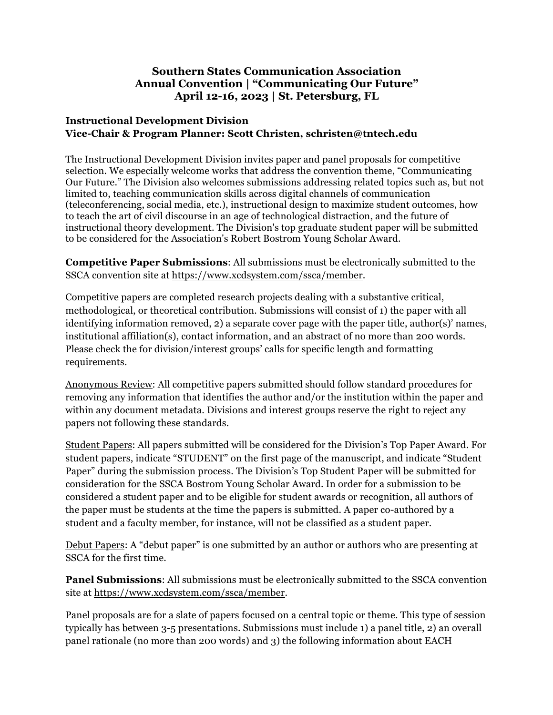## **Southern States Communication Association Annual Convention | "Communicating Our Future" April 12-16, 2023 | St. Petersburg, FL**

## **Instructional Development Division Vice-Chair & Program Planner: Scott Christen, schristen@tntech.edu**

The Instructional Development Division invites paper and panel proposals for competitive selection. We especially welcome works that address the convention theme, "Communicating Our Future." The Division also welcomes submissions addressing related topics such as, but not limited to, teaching communication skills across digital channels of communication (teleconferencing, social media, etc.), instructional design to maximize student outcomes, how to teach the art of civil discourse in an age of technological distraction, and the future of instructional theory development. The Division's top graduate student paper will be submitted to be considered for the Association's Robert Bostrom Young Scholar Award.

**Competitive Paper Submissions**: All submissions must be electronically submitted to the SSCA convention site at https://www.xcdsystem.com/ssca/member.

Competitive papers are completed research projects dealing with a substantive critical, methodological, or theoretical contribution. Submissions will consist of 1) the paper with all identifying information removed, 2) a separate cover page with the paper title, author(s)' names, institutional affiliation(s), contact information, and an abstract of no more than 200 words. Please check the for division/interest groups' calls for specific length and formatting requirements.

Anonymous Review: All competitive papers submitted should follow standard procedures for removing any information that identifies the author and/or the institution within the paper and within any document metadata. Divisions and interest groups reserve the right to reject any papers not following these standards.

Student Papers: All papers submitted will be considered for the Division's Top Paper Award. For student papers, indicate "STUDENT" on the first page of the manuscript, and indicate "Student Paper" during the submission process. The Division's Top Student Paper will be submitted for consideration for the SSCA Bostrom Young Scholar Award. In order for a submission to be considered a student paper and to be eligible for student awards or recognition, all authors of the paper must be students at the time the papers is submitted. A paper co-authored by a student and a faculty member, for instance, will not be classified as a student paper.

Debut Papers: A "debut paper" is one submitted by an author or authors who are presenting at SSCA for the first time.

**Panel Submissions**: All submissions must be electronically submitted to the SSCA convention site at https://www.xcdsystem.com/ssca/member.

Panel proposals are for a slate of papers focused on a central topic or theme. This type of session typically has between 3-5 presentations. Submissions must include 1) a panel title, 2) an overall panel rationale (no more than 200 words) and 3) the following information about EACH